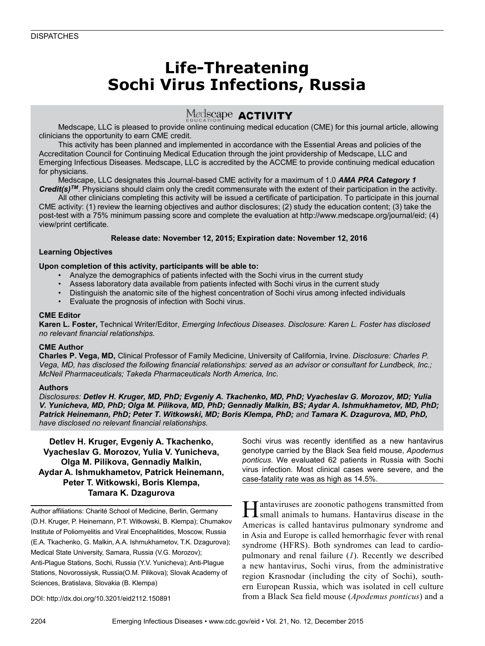## **Life-Threatening Sochi Virus Infections, Russia**

### Medscape **ACTIVITY**

Medscape, LLC is pleased to provide online continuing medical education (CME) for this journal article, allowing clinicians the opportunity to earn CME credit.

This activity has been planned and implemented in accordance with the Essential Areas and policies of the Accreditation Council for Continuing Medical Education through the joint providership of Medscape, LLC and Emerging Infectious Diseases. Medscape, LLC is accredited by the ACCME to provide continuing medical education for physicians.

Medscape, LLC designates this Journal-based CME activity for a maximum of 1.0 *AMA PRA Category 1 Credit(s)TM*. Physicians should claim only the credit commensurate with the extent of their participation in the activity.

All other clinicians completing this activity will be issued a certificate of participation. To participate in this journal CME activity: (1) review the learning objectives and author disclosures; (2) study the education content; (3) take the post-test with a 75% minimum passing score and complete the evaluation at http://www.medscape.org/journal/eid; (4) view/print certificate.

#### **Release date: November 12, 2015; Expiration date: November 12, 2016**

#### **Learning Objectives**

#### **Upon completion of this activity, participants will be able to:**

- Analyze the demographics of patients infected with the Sochi virus in the current study
- Assess laboratory data available from patients infected with Sochi virus in the current study
- Distinguish the anatomic site of the highest concentration of Sochi virus among infected individuals
- Evaluate the prognosis of infection with Sochi virus.

#### **CME Editor**

**Karen L. Foster,** Technical Writer/Editor, *Emerging Infectious Diseases. Disclosure: Karen L. Foster has disclosed no relevant financial relationships.*

#### **CME Author**

**Charles P. Vega, MD,** Clinical Professor of Family Medicine, University of California, Irvine. *Disclosure: Charles P. Vega, MD, has disclosed the following financial relationships: served as an advisor or consultant for Lundbeck, Inc.; McNeil Pharmaceuticals; Takeda Pharmaceuticals North America, Inc.*

#### **Authors**

*Disclosures: Detlev H. Kruger, MD, PhD; Evgeniy A. Tkachenko, MD, PhD; Vyacheslav G. Morozov, MD; Yulia V. Yunicheva, MD, PhD; Olga M. Pilikova, MD, PhD; Gennadiy Malkin, BS; Aydar A. Ishmukhametov, MD, PhD; Patrick Heinemann, PhD; Peter T. Witkowski, MD; Boris Klempa, PhD; and Tamara K. Dzagurova, MD, PhD, have disclosed no relevant financial relationships.*

**Detlev H. Kruger, Evgeniy A. Tkachenko, Vyacheslav G. Morozov, Yulia V. Yunicheva, Olga M. Pilikova, Gennadiy Malkin, Aydar A. Ishmukhametov, Patrick Heinemann, Peter T. Witkowski, Boris Klempa, Tamara K. Dzagurova**

Author affiliations: Charité School of Medicine, Berlin, Germany (D.H. Kruger, P. Heinemann, P.T. Witkowski, B. Klempa); Chumakov Institute of Poliomyelitis and Viral Encephalitides, Moscow, Russia (E.A. Tkachenko, G. Malkin, A.A. Ishmukhametov, T.K. Dzagurova); Medical State University, Samara, Russia (V.G. Morozov); Anti-Plague Stations, Sochi, Russia (Y.V. Yunicheva); Anti-Plague Stations, Novorossiysk, Russia(O.M. Pilikova); Slovak Academy of Sciences, Bratislava, Slovakia (B. Klempa)

Sochi virus was recently identified as a new hantavirus genotype carried by the Black Sea field mouse, *Apodemus ponticus*. We evaluated 62 patients in Russia with Sochi virus infection. Most clinical cases were severe, and the case-fatality rate was as high as 14.5%.

Hantaviruses are zoonotic pathogens transmitted from small animals to humans. Hantavirus disease in the Americas is called hantavirus pulmonary syndrome and in Asia and Europe is called hemorrhagic fever with renal syndrome (HFRS). Both syndromes can lead to cardiopulmonary and renal failure (*1*). Recently we described a new hantavirus, Sochi virus, from the administrative region Krasnodar (including the city of Sochi), southern European Russia, which was isolated in cell culture from a Black Sea field mouse (*Apodemus ponticus*) and a

DOI: http://dx.doi.org/10.3201/eid2112.150891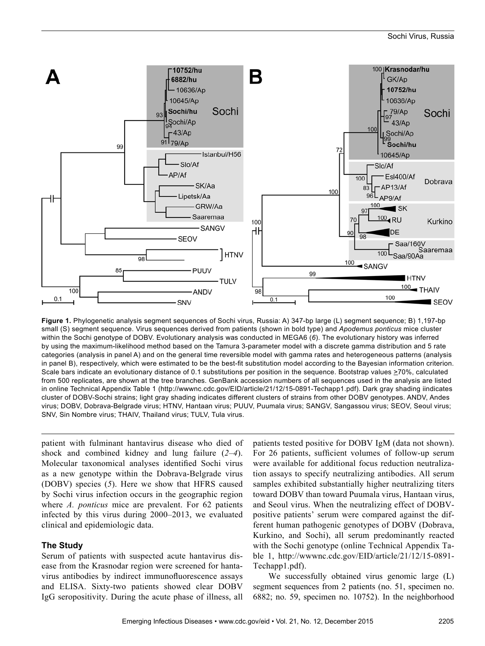

**Figure 1.** Phylogenetic analysis segment sequences of Sochi virus, Russia: A) 347-bp large (L) segment sequence; B) 1,197-bp small (S) segment sequence. Virus sequences derived from patients (shown in bold type) and *Apodemus ponticus* mice cluster within the Sochi genotype of DOBV. Evolutionary analysis was conducted in MEGA6 (*6*). The evolutionary history was inferred by using the maximum-likelihood method based on the Tamura 3-parameter model with a discrete gamma distribution and 5 rate categories (analysis in panel A) and on the general time reversible model with gamma rates and heterogeneous patterns (analysis in panel B), respectively, which were estimated to be the best-fit substitution model according to the Bayesian information criterion. Scale bars indicate an evolutionary distance of 0.1 substitutions per position in the sequence. Bootstrap values >70%, calculated from 500 replicates, are shown at the tree branches. GenBank accession numbers of all sequences used in the analysis are listed in online Technical Appendix Table 1 (http://wwwnc.cdc.gov/EID/article/21/12/15-0891-Techapp1.pdf). Dark gray shading iindicates cluster of DOBV-Sochi strains; light gray shading indicates different clusters of strains from other DOBV genotypes. ANDV, Andes virus; DOBV, Dobrava-Belgrade virus; HTNV, Hantaan virus; PUUV, Puumala virus; SANGV, Sangassou virus; SEOV, Seoul virus; SNV, Sin Nombre virus; THAIV, Thailand virus; TULV, Tula virus.

patient with fulminant hantavirus disease who died of shock and combined kidney and lung failure (*2*–*4*). Molecular taxonomical analyses identified Sochi virus as a new genotype within the Dobrava-Belgrade virus (DOBV) species (*5*). Here we show that HFRS caused by Sochi virus infection occurs in the geographic region where *A. ponticus* mice are prevalent. For 62 patients infected by this virus during 2000–2013, we evaluated clinical and epidemiologic data.

#### **The Study**

Serum of patients with suspected acute hantavirus disease from the Krasnodar region were screened for hantavirus antibodies by indirect immunofluorescence assays and ELISA. Sixty-two patients showed clear DOBV IgG seropositivity. During the acute phase of illness, all patients tested positive for DOBV IgM (data not shown). For 26 patients, sufficient volumes of follow-up serum were available for additional focus reduction neutralization assays to specify neutralizing antibodies. All serum samples exhibited substantially higher neutralizing titers toward DOBV than toward Puumala virus, Hantaan virus, and Seoul virus. When the neutralizing effect of DOBVpositive patients' serum were compared against the different human pathogenic genotypes of DOBV (Dobrava, Kurkino, and Sochi), all serum predominantly reacted with the Sochi genotype (online Technical Appendix Table 1, http://wwwnc.cdc.gov/EID/article/21/12/15-0891- Techapp1.pdf).

We successfully obtained virus genomic large (L) segment sequences from 2 patients (no. 51, specimen no. 6882; no. 59, specimen no. 10752). In the neighborhood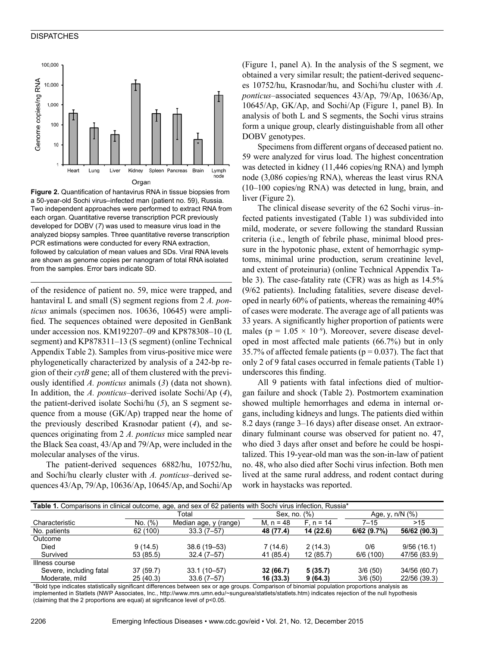#### **DISPATCHES**



**Figure 2.** Quantification of hantavirus RNA in tissue biopsies from a 50-year-old Sochi virus–infected man (patient no. 59), Russia. Two independent approaches were performed to extract RNA from each organ. Quantitative reverse transcription PCR previously developed for DOBV (*7*) was used to measure virus load in the analyzed biopsy samples. Three quantitative reverse transcription PCR estimations were conducted for every RNA extraction, followed by calculation of mean values and SDs. Viral RNA levels are shown as genome copies per nanogram of total RNA isolated from the samples. Error bars indicate SD.

of the residence of patient no. 59, mice were trapped, and hantaviral L and small (S) segment regions from 2 *A. ponticus* animals (specimen nos. 10636, 10645) were amplified. The sequences obtained were deposited in GenBank under accession nos. KM192207–09 and KP878308–10 (L segment) and KP878311–13 (S segment) (online Technical Appendix Table 2). Samples from virus-positive mice were phylogenetically characterized by analysis of a 242-bp region of their *cytB* gene; all of them clustered with the previously identified *A. ponticus* animals (*3*) (data not shown). In addition, the *A. ponticus*–derived isolate Sochi/Ap (*4*), the patient-derived isolate Sochi/hu (*5*), an S segment sequence from a mouse (GK/Ap) trapped near the home of the previously described Krasnodar patient (*4*), and sequences originating from 2 *A. ponticus* mice sampled near the Black Sea coast, 43/Ap and 79/Ap, were included in the molecular analyses of the virus.

The patient-derived sequences 6882/hu, 10752/hu, and Sochi/hu clearly cluster with *A. ponticus*–derived sequences 43/Ap, 79/Ap, 10636/Ap, 10645/Ap, and Sochi/Ap (Figure 1, panel A). In the analysis of the S segment, we obtained a very similar result; the patient-derived sequences 10752/hu, Krasnodar/hu, and Sochi/hu cluster with *A. ponticus*–associated sequences 43/Ap, 79/Ap, 10636/Ap, 10645/Ap, GK/Ap, and Sochi/Ap (Figure 1, panel B). In analysis of both L and S segments, the Sochi virus strains form a unique group, clearly distinguishable from all other DOBV genotypes.

Specimens from different organs of deceased patient no. 59 were analyzed for virus load. The highest concentration was detected in kidney (11,446 copies/ng RNA) and lymph node (3,086 copies/ng RNA), whereas the least virus RNA (10–100 copies/ng RNA) was detected in lung, brain, and liver (Figure 2).

The clinical disease severity of the 62 Sochi virus–infected patients investigated (Table 1) was subdivided into mild, moderate, or severe following the standard Russian criteria (i.e., length of febrile phase, minimal blood pressure in the hypotonic phase, extent of hemorrhagic symptoms, minimal urine production, serum creatinine level, and extent of proteinuria) (online Technical Appendix Table 3). The case-fatality rate (CFR) was as high as 14.5% (9/62 patients). Including fatalities, severe disease developed in nearly 60% of patients, whereas the remaining 40% of cases were moderate. The average age of all patients was 33 years. A significantly higher proportion of patients were males ( $p = 1.05 \times 10^{-9}$ ). Moreover, severe disease developed in most affected male patients (66.7%) but in only 35.7% of affected female patients ( $p = 0.037$ ). The fact that only 2 of 9 fatal cases occurred in female patients (Table 1) underscores this finding.

All 9 patients with fatal infections died of multiorgan failure and shock (Table 2). Postmortem examination showed multiple hemorrhages and edema in internal organs, including kidneys and lungs. The patients died within 8.2 days (range 3–16 days) after disease onset. An extraordinary fulminant course was observed for patient no. 47, who died 3 days after onset and before he could be hospitalized. This 19-year-old man was the son-in-law of patient no. 48, who also died after Sochi virus infection. Both men lived at the same rural address, and rodent contact during work in haystacks was reported.

| Table 1. Comparisons in clinical outcome, age, and sex of 62 patients with Sochi virus infection, Russia* |           |                       |                 |             |                 |              |  |  |  |  |  |
|-----------------------------------------------------------------------------------------------------------|-----------|-----------------------|-----------------|-------------|-----------------|--------------|--|--|--|--|--|
|                                                                                                           |           | Total                 | Sex, no. $(\%)$ |             | Age, y, n/N (%) |              |  |  |  |  |  |
| Characteristic                                                                                            | No. (%)   | Median age, y (range) | M. $n = 48$     | $F. n = 14$ | $7 - 15$        | >15          |  |  |  |  |  |
| No. patients                                                                                              | 62 (100)  | $33.3(7 - 57)$        | 48 (77.4)       | 14 (22.6)   | 6/62(9.7%)      | 56/62 (90.3) |  |  |  |  |  |
| Outcome                                                                                                   |           |                       |                 |             |                 |              |  |  |  |  |  |
| Died                                                                                                      | 9(14.5)   | 38.6 (19 - 53)        | 7(14.6)         | 2(14.3)     | 0/6             | 9/56(16.1)   |  |  |  |  |  |
| Survived                                                                                                  | 53 (85.5) | $32.4(7-57)$          | 41 (85.4)       | 12(85.7)    | 6/6(100)        | 47/56 (83.9) |  |  |  |  |  |
| Illness course                                                                                            |           |                       |                 |             |                 |              |  |  |  |  |  |
| Severe, including fatal                                                                                   | 37(59.7)  | 33.1 (10-57)          | 32 (66.7)       | 5(35.7)     | 3/6(50)         | 34/56 (60.7) |  |  |  |  |  |
| Moderate, mild                                                                                            | 25(40.3)  | $33.6(7 - 57)$        | 16 (33.3)       | 9(64.3)     | 3/6(50)         | 22/56 (39.3) |  |  |  |  |  |

\*Bold type indicates statistically significant differences between sex or age groups. Comparison of binomial population proportions analysis as implemented in Statlets (NWP Associates, Inc., http://www.mrs.umn.edu/~sungurea/statlets/statlets.htm) indicates rejection of the null hypothesis (claiming that the 2 proportions are equal) at significance level of p<0.05.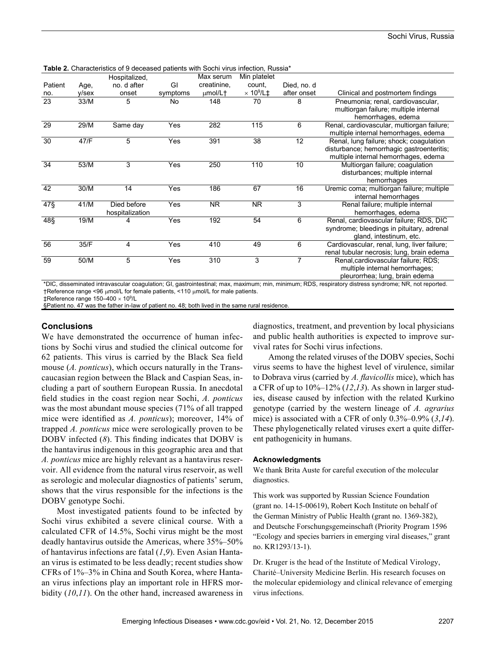|                 |       | Hospitalized,                  |          | Max serum      | Min platelet                 |             |                                                                                                                              |
|-----------------|-------|--------------------------------|----------|----------------|------------------------------|-------------|------------------------------------------------------------------------------------------------------------------------------|
| Patient         | Age,  | no. d after                    | GI       | creatinine,    | count,                       | Died, no. d |                                                                                                                              |
| no.             | v/sex | onset                          | symptoms | umol/L†        | $\times$ 10 <sup>9</sup> /L‡ | after onset | Clinical and postmortem findings                                                                                             |
| 23              | 33/M  | 5                              | No.      | 148            | 70                           | 8           | Pneumonia; renal, cardiovascular,<br>multiorgan failure; multiple internal<br>hemorrhages, edema                             |
| 29              | 29/M  | Same day                       | Yes      | 282            | 115                          | 6           | Renal, cardiovascular, multiorgan failure;<br>multiple internal hemorrhages, edema                                           |
| 30              | 47/F  | 5                              | Yes      | 391            | 38                           | 12          | Renal, lung failure; shock; coaquiation<br>disturbance; hemorrhagic gastroenteritis;<br>multiple internal hemorrhages, edema |
| 34              | 53/M  | 3                              | Yes      | 250            | 110                          | 10          | Multiorgan failure; coagulation<br>disturbances; multiple internal<br>hemorrhages                                            |
| 42              | 30/M  | 14                             | Yes      | 186            | 67                           | 16          | Uremic coma; multiorgan failure; multiple<br>internal hemorrhages                                                            |
| $47\S$          | 41/M  | Died before<br>hospitalization | Yes      | N <sub>R</sub> | <b>NR</b>                    | 3           | Renal failure; multiple internal<br>hemorrhages, edema                                                                       |
| 48§             | 19/M  | 4                              | Yes      | 192            | 54                           | 6           | Renal, cardiovascular failure; RDS, DIC<br>syndrome; bleedings in pituitary, adrenal<br>gland, intestinum, etc.              |
| 56              | 35/F  | 4                              | Yes      | 410            | 49                           | 6           | Cardiovascular, renal, lung, liver failure;<br>renal tubular necrosis; lung, brain edema                                     |
| $\overline{59}$ | 50/M  | 5                              | Yes      | 310            | 3                            | 7           | Renal, cardiovascular failure; RDS;<br>multiple internal hemorrhages;<br>pleurorrhea; lung, brain edema                      |

**Table 2.** Characteristics of 9 deceased patients with Sochi virus infection, Russia\*

\*DIC, disseminated intravascular coagulation; GI, gastrointestinal; max, maximum; min, minimum; RDS, respiratory distress syndrome; NR, not reported. †Reference range <96 µmol/L for female patients, <110 µmol/L for male patients.

‡Reference range 150–400 109 /L

§Patient no. 47 was the father in-law of patient no. 48; both lived in the same rural residence

#### **Conclusions**

We have demonstrated the occurrence of human infections by Sochi virus and studied the clinical outcome for 62 patients. This virus is carried by the Black Sea field mouse (*A. ponticus*), which occurs naturally in the Transcaucasian region between the Black and Caspian Seas, including a part of southern European Russia. In anecdotal field studies in the coast region near Sochi, *A. ponticus* was the most abundant mouse species (71% of all trapped mice were identified as *A. ponticus*); moreover, 14% of trapped *A. ponticus* mice were serologically proven to be DOBV infected (*8*). This finding indicates that DOBV is the hantavirus indigenous in this geographic area and that *A. ponticus* mice are highly relevant as a hantavirus reservoir. All evidence from the natural virus reservoir, as well as serologic and molecular diagnostics of patients' serum, shows that the virus responsible for the infections is the DOBV genotype Sochi.

Most investigated patients found to be infected by Sochi virus exhibited a severe clinical course. With a calculated CFR of 14.5%, Sochi virus might be the most deadly hantavirus outside the Americas, where 35%–50% of hantavirus infections are fatal (*1*,*9*). Even Asian Hantaan virus is estimated to be less deadly; recent studies show CFRs of 1%–3% in China and South Korea, where Hantaan virus infections play an important role in HFRS morbidity (*10*,*11*). On the other hand, increased awareness in

diagnostics, treatment, and prevention by local physicians and public health authorities is expected to improve survival rates for Sochi virus infections.

Among the related viruses of the DOBV species, Sochi virus seems to have the highest level of virulence, similar to Dobrava virus (carried by *A. flavicollis* mice), which has a CFR of up to 10%–12% (*12*,*13*). As shown in larger studies, disease caused by infection with the related Kurkino genotype (carried by the western lineage of *A. agrarius* mice) is associated with a CFR of only 0.3%–0.9% (*3*,*14*). These phylogenetically related viruses exert a quite different pathogenicity in humans.

#### **Acknowledgments**

We thank Brita Auste for careful execution of the molecular diagnostics.

This work was supported by Russian Science Foundation (grant no. 14-15-00619), Robert Koch Institute on behalf of the German Ministry of Public Health (grant no. 1369-382), and Deutsche Forschungsgemeinschaft (Priority Program 1596 "Ecology and species barriers in emerging viral diseases," grant no. KR1293/13-1).

Dr. Kruger is the head of the Institute of Medical Virology, Charité–University Medicine Berlin. His research focuses on the molecular epidemiology and clinical relevance of emerging virus infections.